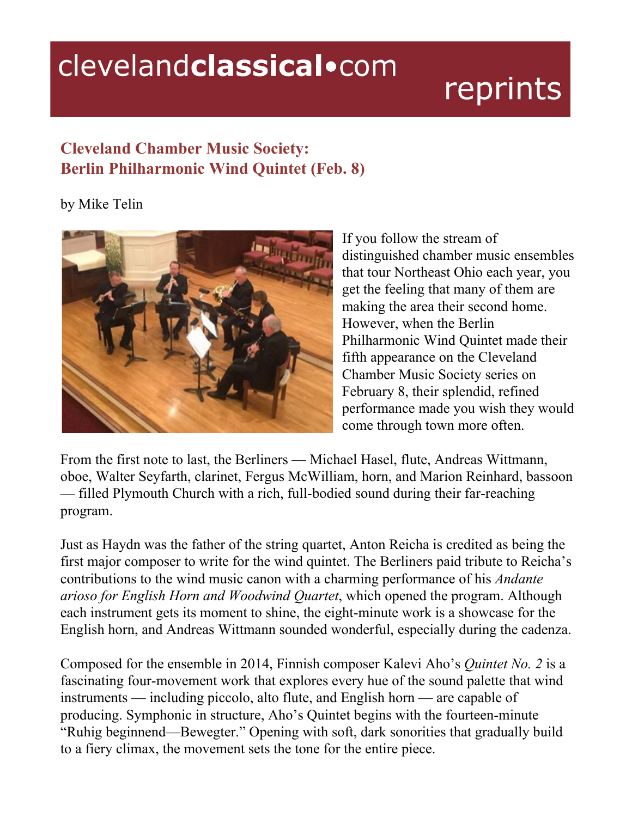## clevelandclassical.com

## reprints

## **Cleveland Chamber Music Society: Berlin Philharmonic Wind Quintet (Feb. 8)**

by Mike Telin



If you follow the stream of distinguished chamber music ensembles that tour Northeast Ohio each year, you get the feeling that many of them are making the area their second home. However, when the Berlin Philharmonic Wind Quintet made their fifth appearance on the Cleveland Chamber Music Society series on February 8, their splendid, refined performance made you wish they would come through town more often.

From the first note to last, the Berliners — Michael Hasel, flute, Andreas Wittmann, oboe, Walter Seyfarth, clarinet, Fergus McWilliam, horn, and Marion Reinhard, bassoon — filled Plymouth Church with a rich, full-bodied sound during their far-reaching program.

Just as Haydn was the father of the string quartet, Anton Reicha is credited as being the first major composer to write for the wind quintet. The Berliners paid tribute to Reicha's contributions to the wind music canon with a charming performance of his *Andante arioso for English Horn and Woodwind Quartet*, which opened the program. Although each instrument gets its moment to shine, the eight-minute work is a showcase for the English horn, and Andreas Wittmann sounded wonderful, especially during the cadenza.

Composed for the ensemble in 2014, Finnish composer Kalevi Aho's *Quintet No. 2* is a fascinating four-movement work that explores every hue of the sound palette that wind instruments — including piccolo, alto flute, and English horn — are capable of producing. Symphonic in structure, Aho's Quintet begins with the fourteen-minute "Ruhig beginnend—Bewegter." Opening with soft, dark sonorities that gradually build to a fiery climax, the movement sets the tone for the entire piece.